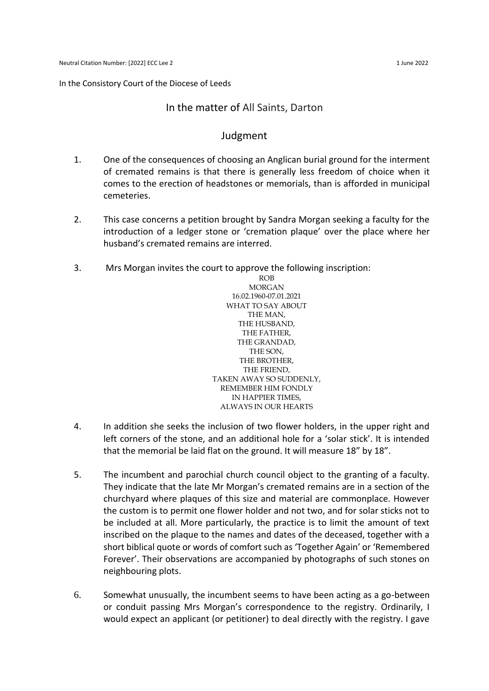In the Consistory Court of the Diocese of Leeds

## In the matter of All Saints, Darton

## Judgment

- 1. One of the consequences of choosing an Anglican burial ground for the interment of cremated remains is that there is generally less freedom of choice when it comes to the erection of headstones or memorials, than is afforded in municipal cemeteries.
- 2. This case concerns a petition brought by Sandra Morgan seeking a faculty for the introduction of a ledger stone or 'cremation plaque' over the place where her husband's cremated remains are interred.
- 3. Mrs Morgan invites the court to approve the following inscription:

ROB MORGAN 16.02.1960-07.01.2021 WHAT TO SAY ABOUT THE MAN, THE HUSBAND, THE FATHER, THE GRANDAD, THE SON, THE BROTHER, THE FRIEND, TAKEN AWAY SO SUDDENLY, REMEMBER HIM FONDLY IN HAPPIER TIMES, ALWAYS IN OUR HEARTS

- 4. In addition she seeks the inclusion of two flower holders, in the upper right and left corners of the stone, and an additional hole for a 'solar stick'. It is intended that the memorial be laid flat on the ground. It will measure 18" by 18".
- 5. The incumbent and parochial church council object to the granting of a faculty. They indicate that the late Mr Morgan's cremated remains are in a section of the churchyard where plaques of this size and material are commonplace. However the custom is to permit one flower holder and not two, and for solar sticks not to be included at all. More particularly, the practice is to limit the amount of text inscribed on the plaque to the names and dates of the deceased, together with a short biblical quote or words of comfort such as 'Together Again' or 'Remembered Forever'. Their observations are accompanied by photographs of such stones on neighbouring plots.
- 6. Somewhat unusually, the incumbent seems to have been acting as a go-between or conduit passing Mrs Morgan's correspondence to the registry. Ordinarily, I would expect an applicant (or petitioner) to deal directly with the registry. I gave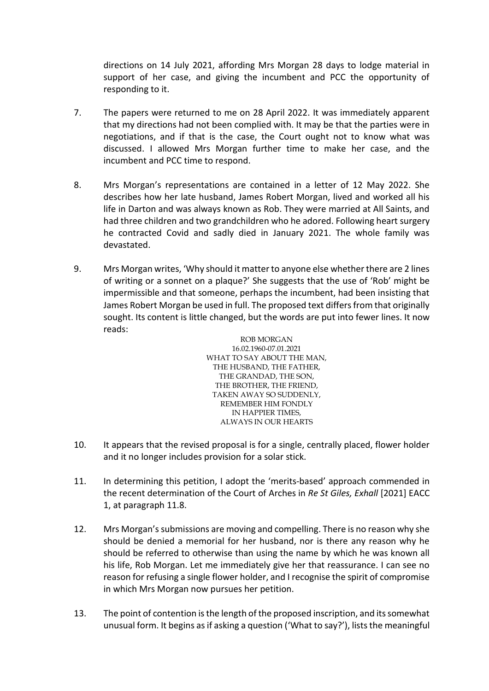directions on 14 July 2021, affording Mrs Morgan 28 days to lodge material in support of her case, and giving the incumbent and PCC the opportunity of responding to it.

- 7. The papers were returned to me on 28 April 2022. It was immediately apparent that my directions had not been complied with. It may be that the parties were in negotiations, and if that is the case, the Court ought not to know what was discussed. I allowed Mrs Morgan further time to make her case, and the incumbent and PCC time to respond.
- 8. Mrs Morgan's representations are contained in a letter of 12 May 2022. She describes how her late husband, James Robert Morgan, lived and worked all his life in Darton and was always known as Rob. They were married at All Saints, and had three children and two grandchildren who he adored. Following heart surgery he contracted Covid and sadly died in January 2021. The whole family was devastated.
- 9. Mrs Morgan writes, 'Why should it matter to anyone else whether there are 2 lines of writing or a sonnet on a plaque?' She suggests that the use of 'Rob' might be impermissible and that someone, perhaps the incumbent, had been insisting that James Robert Morgan be used in full. The proposed text differs from that originally sought. Its content is little changed, but the words are put into fewer lines. It now reads:

ROB MORGAN 16.02.1960-07.01.2021 WHAT TO SAY ABOUT THE MAN, THE HUSBAND, THE FATHER, THE GRANDAD, THE SON, THE BROTHER, THE FRIEND, TAKEN AWAY SO SUDDENLY, REMEMBER HIM FONDLY IN HAPPIER TIMES, ALWAYS IN OUR HEARTS

- 10. It appears that the revised proposal is for a single, centrally placed, flower holder and it no longer includes provision for a solar stick.
- 11. In determining this petition, I adopt the 'merits-based' approach commended in the recent determination of the Court of Arches in *Re St Giles, Exhall* [2021] EACC 1, at paragraph 11.8.
- 12. Mrs Morgan's submissions are moving and compelling. There is no reason why she should be denied a memorial for her husband, nor is there any reason why he should be referred to otherwise than using the name by which he was known all his life, Rob Morgan. Let me immediately give her that reassurance. I can see no reason for refusing a single flower holder, and I recognise the spirit of compromise in which Mrs Morgan now pursues her petition.
- 13. The point of contention is the length of the proposed inscription, and its somewhat unusual form. It begins as if asking a question ('What to say?'), lists the meaningful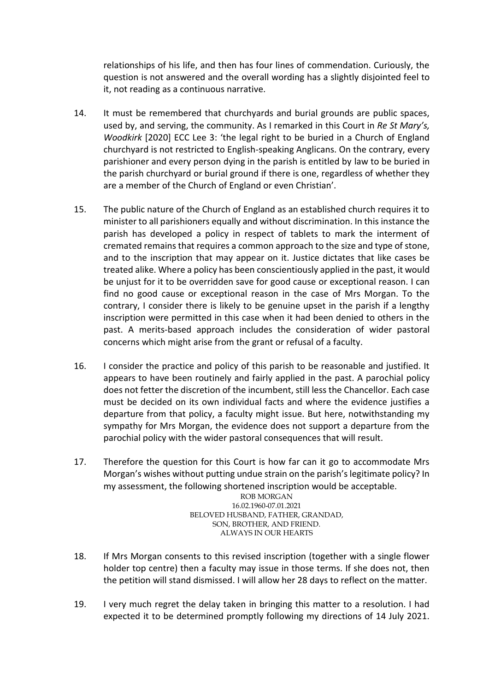relationships of his life, and then has four lines of commendation. Curiously, the question is not answered and the overall wording has a slightly disjointed feel to it, not reading as a continuous narrative.

- 14. It must be remembered that churchyards and burial grounds are public spaces, used by, and serving, the community. As I remarked in this Court in *Re St Mary's, Woodkirk* [2020] ECC Lee 3: 'the legal right to be buried in a Church of England churchyard is not restricted to English-speaking Anglicans. On the contrary, every parishioner and every person dying in the parish is entitled by law to be buried in the parish churchyard or burial ground if there is one, regardless of whether they are a member of the Church of England or even Christian'.
- 15. The public nature of the Church of England as an established church requires it to minister to all parishioners equally and without discrimination. In this instance the parish has developed a policy in respect of tablets to mark the interment of cremated remains that requires a common approach to the size and type of stone, and to the inscription that may appear on it. Justice dictates that like cases be treated alike. Where a policy has been conscientiously applied in the past, it would be unjust for it to be overridden save for good cause or exceptional reason. I can find no good cause or exceptional reason in the case of Mrs Morgan. To the contrary, I consider there is likely to be genuine upset in the parish if a lengthy inscription were permitted in this case when it had been denied to others in the past. A merits-based approach includes the consideration of wider pastoral concerns which might arise from the grant or refusal of a faculty.
- 16. I consider the practice and policy of this parish to be reasonable and justified. It appears to have been routinely and fairly applied in the past. A parochial policy does not fetter the discretion of the incumbent, still less the Chancellor. Each case must be decided on its own individual facts and where the evidence justifies a departure from that policy, a faculty might issue. But here, notwithstanding my sympathy for Mrs Morgan, the evidence does not support a departure from the parochial policy with the wider pastoral consequences that will result.
- 17. Therefore the question for this Court is how far can it go to accommodate Mrs Morgan's wishes without putting undue strain on the parish's legitimate policy? In my assessment, the following shortened inscription would be acceptable. ROB MORGAN

16.02.1960-07.01.2021 BELOVED HUSBAND, FATHER, GRANDAD, SON, BROTHER, AND FRIEND. ALWAYS IN OUR HEARTS

- 18. If Mrs Morgan consents to this revised inscription (together with a single flower holder top centre) then a faculty may issue in those terms. If she does not, then the petition will stand dismissed. I will allow her 28 days to reflect on the matter.
- 19. I very much regret the delay taken in bringing this matter to a resolution. I had expected it to be determined promptly following my directions of 14 July 2021.